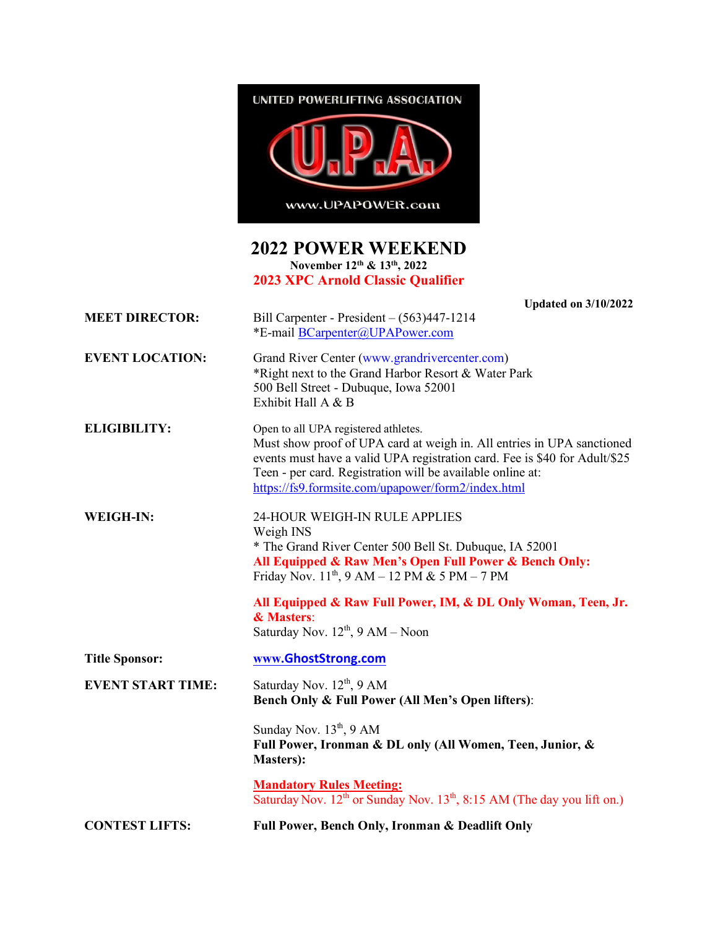

## **2022 POWER WEEKEND November 12th & 13th, 2022**

**2023 XPC Arnold Classic Qualifier**

|                          | <b>Updated on 3/10/2022</b>                                                                                                                                                                                                                                                                                      |
|--------------------------|------------------------------------------------------------------------------------------------------------------------------------------------------------------------------------------------------------------------------------------------------------------------------------------------------------------|
| <b>MEET DIRECTOR:</b>    | Bill Carpenter - President $-(563)447-1214$<br>*E-mail BCarpenter@UPAPower.com                                                                                                                                                                                                                                   |
| <b>EVENT LOCATION:</b>   | Grand River Center (www.grandrivercenter.com)<br>*Right next to the Grand Harbor Resort & Water Park<br>500 Bell Street - Dubuque, Iowa 52001<br>Exhibit Hall A & B                                                                                                                                              |
| <b>ELIGIBILITY:</b>      | Open to all UPA registered athletes.<br>Must show proof of UPA card at weigh in. All entries in UPA sanctioned<br>events must have a valid UPA registration card. Fee is \$40 for Adult/\$25<br>Teen - per card. Registration will be available online at:<br>https://fs9.formsite.com/upapower/form2/index.html |
| <b>WEIGH-IN:</b>         | 24-HOUR WEIGH-IN RULE APPLIES<br>Weigh INS<br>* The Grand River Center 500 Bell St. Dubuque, IA 52001<br>All Equipped & Raw Men's Open Full Power & Bench Only:<br>Friday Nov. $11^{th}$ , 9 AM – 12 PM & 5 PM – 7 PM                                                                                            |
|                          | All Equipped & Raw Full Power, IM, & DL Only Woman, Teen, Jr.<br>& Masters:<br>Saturday Nov. $12^{th}$ , $9 AM - Noon$                                                                                                                                                                                           |
| <b>Title Sponsor:</b>    | www.GhostStrong.com                                                                                                                                                                                                                                                                                              |
| <b>EVENT START TIME:</b> | Saturday Nov. $12^{th}$ , 9 AM<br>Bench Only & Full Power (All Men's Open lifters):                                                                                                                                                                                                                              |
|                          | Sunday Nov. $13th$ , 9 AM<br>Full Power, Ironman & DL only (All Women, Teen, Junior, &<br><b>Masters</b> ):                                                                                                                                                                                                      |
|                          | <b>Mandatory Rules Meeting:</b><br>Saturday Nov. 12 <sup>th</sup> or Sunday Nov. 13 <sup>th</sup> , 8:15 AM (The day you lift on.)                                                                                                                                                                               |
| <b>CONTEST LIFTS:</b>    | Full Power, Bench Only, Ironman & Deadlift Only                                                                                                                                                                                                                                                                  |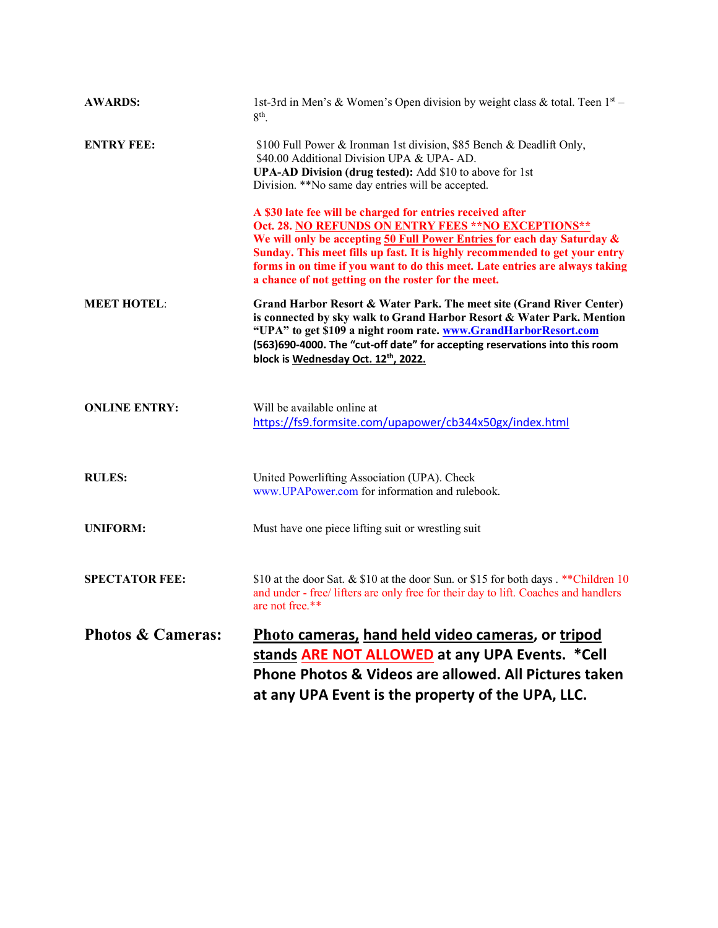| <b>AWARDS:</b>               | 1st-3rd in Men's & Women's Open division by weight class & total. Teen $1st$ –<br>8 <sup>th</sup>                                                                                                                                                                                                                                                                                                                   |
|------------------------------|---------------------------------------------------------------------------------------------------------------------------------------------------------------------------------------------------------------------------------------------------------------------------------------------------------------------------------------------------------------------------------------------------------------------|
| <b>ENTRY FEE:</b>            | \$100 Full Power & Ironman 1st division, \$85 Bench & Deadlift Only,<br>\$40.00 Additional Division UPA & UPA-AD.<br>UPA-AD Division (drug tested): Add \$10 to above for 1st<br>Division. **No same day entries will be accepted.                                                                                                                                                                                  |
|                              | A \$30 late fee will be charged for entries received after<br>Oct. 28. NO REFUNDS ON ENTRY FEES ** NO EXCEPTIONS**<br>We will only be accepting 50 Full Power Entries for each day Saturday &<br>Sunday. This meet fills up fast. It is highly recommended to get your entry<br>forms in on time if you want to do this meet. Late entries are always taking<br>a chance of not getting on the roster for the meet. |
| <b>MEET HOTEL:</b>           | Grand Harbor Resort & Water Park. The meet site (Grand River Center)<br>is connected by sky walk to Grand Harbor Resort & Water Park. Mention<br>"UPA" to get \$109 a night room rate. www.GrandHarborResort.com<br>(563)690-4000. The "cut-off date" for accepting reservations into this room<br>block is Wednesday Oct. 12th, 2022.                                                                              |
| <b>ONLINE ENTRY:</b>         | Will be available online at<br>https://fs9.formsite.com/upapower/cb344x50gx/index.html                                                                                                                                                                                                                                                                                                                              |
| <b>RULES:</b>                | United Powerlifting Association (UPA). Check<br>www.UPAPower.com for information and rulebook.                                                                                                                                                                                                                                                                                                                      |
| <b>UNIFORM:</b>              | Must have one piece lifting suit or wrestling suit                                                                                                                                                                                                                                                                                                                                                                  |
| <b>SPECTATOR FEE:</b>        | \$10 at the door Sat. & \$10 at the door Sun. or \$15 for both days. ** Children 10<br>and under - free/ lifters are only free for their day to lift. Coaches and handlers<br>are not free.**                                                                                                                                                                                                                       |
| <b>Photos &amp; Cameras:</b> | Photo cameras, hand held video cameras, or tripod<br>stands ARE NOT ALLOWED at any UPA Events. * Cell<br>Phone Photos & Videos are allowed. All Pictures taken<br>at any UPA Event is the property of the UPA, LLC.                                                                                                                                                                                                 |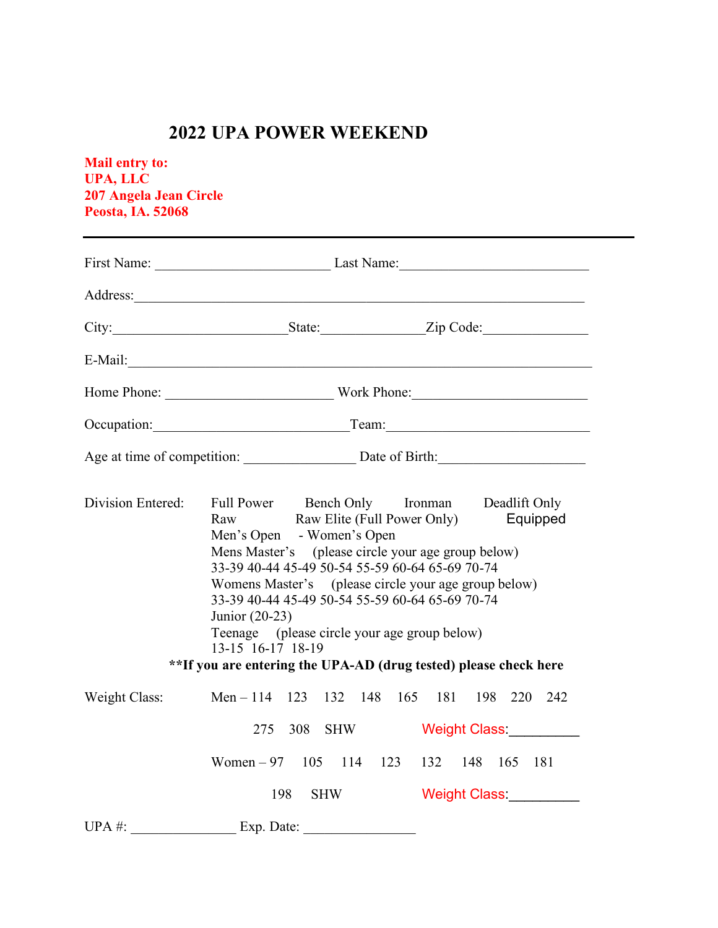## **2022 UPA POWER WEEKEND**

**Mail entry to: UPA, LLC 207 Angela Jean Circle Peosta, IA. 52068**

|                   | First Name: Last Name: Last Name:                                                                                                                                                                                                                                                                                                                                                                                                                                                               |
|-------------------|-------------------------------------------------------------------------------------------------------------------------------------------------------------------------------------------------------------------------------------------------------------------------------------------------------------------------------------------------------------------------------------------------------------------------------------------------------------------------------------------------|
|                   |                                                                                                                                                                                                                                                                                                                                                                                                                                                                                                 |
|                   |                                                                                                                                                                                                                                                                                                                                                                                                                                                                                                 |
|                   |                                                                                                                                                                                                                                                                                                                                                                                                                                                                                                 |
|                   |                                                                                                                                                                                                                                                                                                                                                                                                                                                                                                 |
|                   | Occupation: Team: Team: Team:                                                                                                                                                                                                                                                                                                                                                                                                                                                                   |
|                   | Age at time of competition: Date of Birth:                                                                                                                                                                                                                                                                                                                                                                                                                                                      |
| Division Entered: | Full Power Bench Only Ironman Deadlift Only<br>Raw Blite (Full Power Only) Equipped<br>Men's Open - Women's Open<br>Mens Master's (please circle your age group below)<br>33-39 40-44 45-49 50-54 55-59 60-64 65-69 70-74<br>Womens Master's (please circle your age group below)<br>33-39 40-44 45-49 50-54 55-59 60-64 65-69 70-74<br>Junior (20-23)<br>Teenage (please circle your age group below)<br>13-15 16-17 18-19<br>**If you are entering the UPA-AD (drug tested) please check here |
| Weight Class:     | Men - 114 123 132 148 165 181 198 220 242                                                                                                                                                                                                                                                                                                                                                                                                                                                       |
|                   | 275 308 SHW<br>Weight Class: Weight Class:                                                                                                                                                                                                                                                                                                                                                                                                                                                      |
|                   | Women – 97 105 114 123 132 148 165 181                                                                                                                                                                                                                                                                                                                                                                                                                                                          |
|                   | Weight Class: Weight Class:<br>198<br><b>SHW</b>                                                                                                                                                                                                                                                                                                                                                                                                                                                |
|                   |                                                                                                                                                                                                                                                                                                                                                                                                                                                                                                 |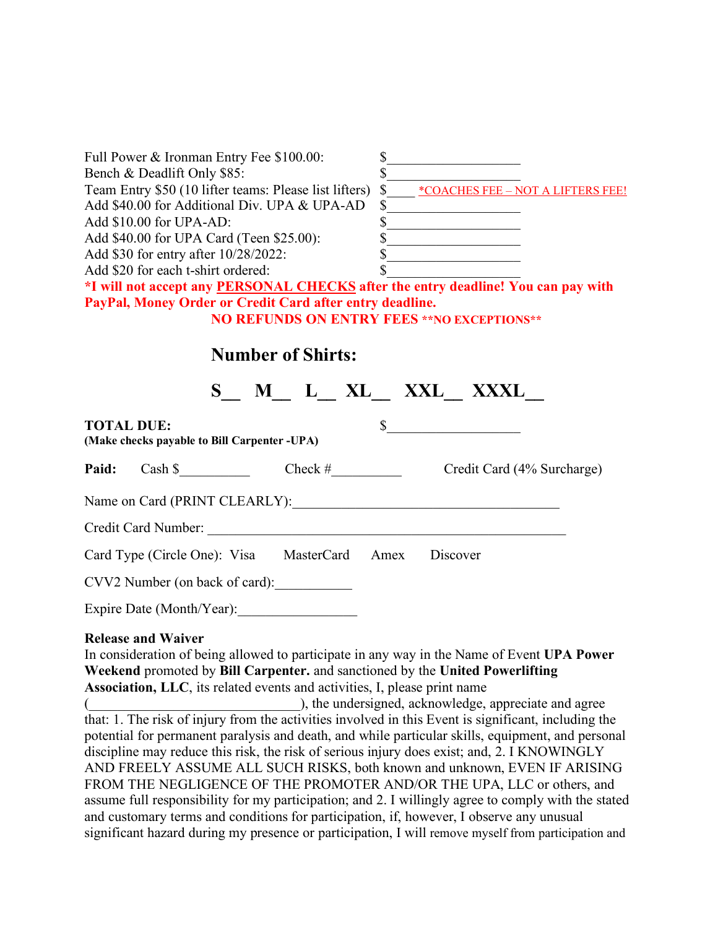| Full Power & Ironman Entry Fee \$100.00:                                                                                                                                                                                                                                                                                                                                                                                                                                                                                                                                                                                                                                                                                                                                                                                                                        | s                                                                                                                                                 |
|-----------------------------------------------------------------------------------------------------------------------------------------------------------------------------------------------------------------------------------------------------------------------------------------------------------------------------------------------------------------------------------------------------------------------------------------------------------------------------------------------------------------------------------------------------------------------------------------------------------------------------------------------------------------------------------------------------------------------------------------------------------------------------------------------------------------------------------------------------------------|---------------------------------------------------------------------------------------------------------------------------------------------------|
| Bench & Deadlift Only \$85:                                                                                                                                                                                                                                                                                                                                                                                                                                                                                                                                                                                                                                                                                                                                                                                                                                     |                                                                                                                                                   |
| Team Entry \$50 (10 lifter teams: Please list lifters)                                                                                                                                                                                                                                                                                                                                                                                                                                                                                                                                                                                                                                                                                                                                                                                                          | <u>*COACHES FEE - NOT A LIFTERS FEE!</u>                                                                                                          |
| Add \$40.00 for Additional Div. UPA & UPA-AD                                                                                                                                                                                                                                                                                                                                                                                                                                                                                                                                                                                                                                                                                                                                                                                                                    | \$<br><u> 1989 - Johann Barnett, fransk politik (</u>                                                                                             |
| Add \$10.00 for UPA-AD:                                                                                                                                                                                                                                                                                                                                                                                                                                                                                                                                                                                                                                                                                                                                                                                                                                         | s                                                                                                                                                 |
| Add \$40.00 for UPA Card (Teen \$25.00):                                                                                                                                                                                                                                                                                                                                                                                                                                                                                                                                                                                                                                                                                                                                                                                                                        | s<br>$\begin{array}{c c} \hline \textbf{S} & \textbf{S} & \textbf{S} \\ \hline \end{array}$                                                       |
| Add \$30 for entry after 10/28/2022:                                                                                                                                                                                                                                                                                                                                                                                                                                                                                                                                                                                                                                                                                                                                                                                                                            |                                                                                                                                                   |
| Add \$20 for each t-shirt ordered:                                                                                                                                                                                                                                                                                                                                                                                                                                                                                                                                                                                                                                                                                                                                                                                                                              |                                                                                                                                                   |
| *I will not accept any <b>PERSONAL CHECKS</b> after the entry deadline! You can pay with                                                                                                                                                                                                                                                                                                                                                                                                                                                                                                                                                                                                                                                                                                                                                                        |                                                                                                                                                   |
| PayPal, Money Order or Credit Card after entry deadline.                                                                                                                                                                                                                                                                                                                                                                                                                                                                                                                                                                                                                                                                                                                                                                                                        |                                                                                                                                                   |
|                                                                                                                                                                                                                                                                                                                                                                                                                                                                                                                                                                                                                                                                                                                                                                                                                                                                 | <b>NO REFUNDS ON ENTRY FEES **NO EXCEPTIONS**</b>                                                                                                 |
| <b>Number of Shirts:</b>                                                                                                                                                                                                                                                                                                                                                                                                                                                                                                                                                                                                                                                                                                                                                                                                                                        |                                                                                                                                                   |
| $S$ M L XL XXL XXL XXXL                                                                                                                                                                                                                                                                                                                                                                                                                                                                                                                                                                                                                                                                                                                                                                                                                                         |                                                                                                                                                   |
| <b>TOTAL DUE:</b><br>(Make checks payable to Bill Carpenter -UPA)                                                                                                                                                                                                                                                                                                                                                                                                                                                                                                                                                                                                                                                                                                                                                                                               | s                                                                                                                                                 |
| Paid: Cash \$                                                                                                                                                                                                                                                                                                                                                                                                                                                                                                                                                                                                                                                                                                                                                                                                                                                   |                                                                                                                                                   |
|                                                                                                                                                                                                                                                                                                                                                                                                                                                                                                                                                                                                                                                                                                                                                                                                                                                                 |                                                                                                                                                   |
|                                                                                                                                                                                                                                                                                                                                                                                                                                                                                                                                                                                                                                                                                                                                                                                                                                                                 |                                                                                                                                                   |
| Card Type (Circle One): Visa MasterCard Amex Discover                                                                                                                                                                                                                                                                                                                                                                                                                                                                                                                                                                                                                                                                                                                                                                                                           |                                                                                                                                                   |
| CVV2 Number (on back of card):                                                                                                                                                                                                                                                                                                                                                                                                                                                                                                                                                                                                                                                                                                                                                                                                                                  |                                                                                                                                                   |
| Expire Date (Month/Year):                                                                                                                                                                                                                                                                                                                                                                                                                                                                                                                                                                                                                                                                                                                                                                                                                                       |                                                                                                                                                   |
| <b>Release and Waiver</b><br>In consideration of being allowed to participate in any way in the Name of Event UPA Power<br>Weekend promoted by Bill Carpenter. and sanctioned by the United Powerlifting<br>Association, LLC, its related events and activities, I, please print name<br>that: 1. The risk of injury from the activities involved in this Event is significant, including the<br>potential for permanent paralysis and death, and while particular skills, equipment, and personal<br>discipline may reduce this risk, the risk of serious injury does exist; and, 2. I KNOWINGLY<br>AND FREELY ASSUME ALL SUCH RISKS, both known and unknown, EVEN IF ARISING<br>FROM THE NEGLIGENCE OF THE PROMOTER AND/OR THE UPA, LLC or others, and<br>assume full responsibility for my participation; and 2. I willingly agree to comply with the stated | ), the undersigned, acknowledge, appreciate and agree<br>and customary terms and conditions for participation, if, however, I observe any unusual |

significant hazard during my presence or participation, I will remove myself from participation and